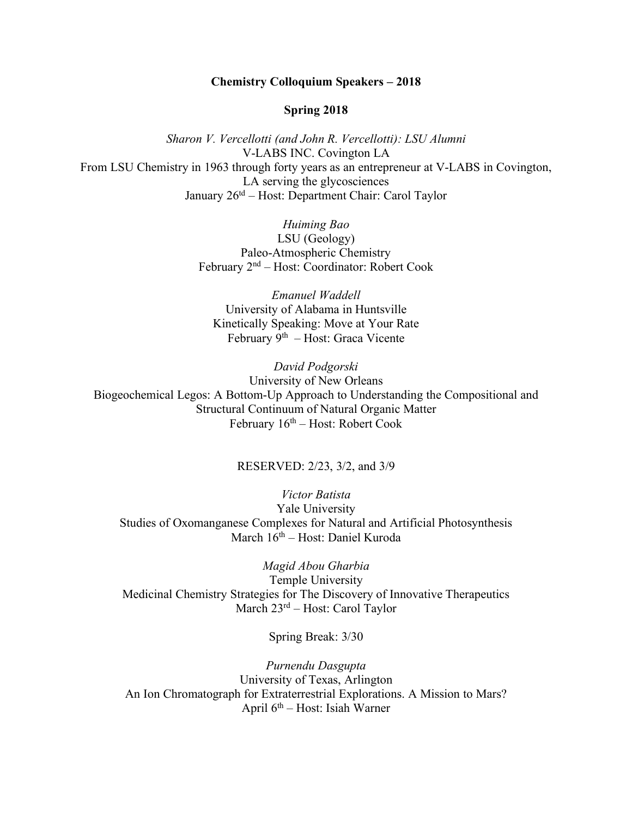## **Chemistry Colloquium Speakers – 2018**

## **Spring 2018**

*Sharon V. Vercellotti (and John R. Vercellotti): LSU Alumni* V-LABS INC. Covington LA From LSU Chemistry in 1963 through forty years as an entrepreneur at V-LABS in Covington, LA serving the glycosciences January 26td – Host: Department Chair: Carol Taylor

> *Huiming Bao* LSU (Geology) Paleo-Atmospheric Chemistry February 2nd – Host: Coordinator: Robert Cook

*Emanuel Waddell* University of Alabama in Huntsville Kinetically Speaking: Move at Your Rate February 9th – Host: Graca Vicente

*David Podgorski* University of New Orleans Biogeochemical Legos: A Bottom-Up Approach to Understanding the Compositional and Structural Continuum of Natural Organic Matter February  $16<sup>th</sup>$  – Host: Robert Cook

## RESERVED: 2/23, 3/2, and 3/9

*Victor Batista* Yale University Studies of Oxomanganese Complexes for Natural and Artificial Photosynthesis March 16th – Host: Daniel Kuroda

*Magid Abou Gharbia* Temple University Medicinal Chemistry Strategies for The Discovery of Innovative Therapeutics March 23rd – Host: Carol Taylor

Spring Break: 3/30

*Purnendu Dasgupta* University of Texas, Arlington An Ion Chromatograph for Extraterrestrial Explorations. A Mission to Mars? April 6th – Host: Isiah Warner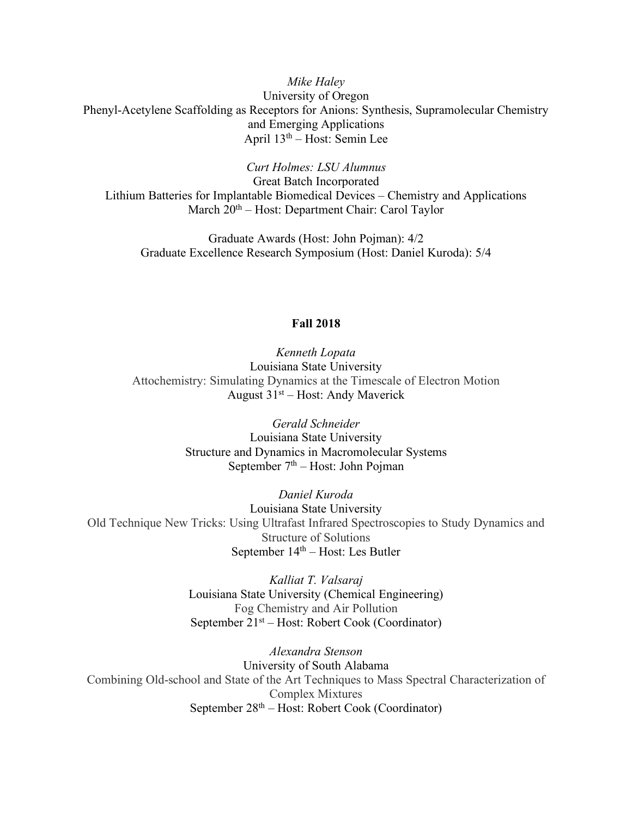*Mike Haley* University of Oregon Phenyl-Acetylene Scaffolding as Receptors for Anions: Synthesis, Supramolecular Chemistry and Emerging Applications April  $13<sup>th</sup>$  – Host: Semin Lee

*Curt Holmes: LSU Alumnus*

Great Batch Incorporated Lithium Batteries for Implantable Biomedical Devices – Chemistry and Applications March 20<sup>th</sup> – Host: Department Chair: Carol Taylor

Graduate Awards (Host: John Pojman): 4/2 Graduate Excellence Research Symposium (Host: Daniel Kuroda): 5/4

## **Fall 2018**

*Kenneth Lopata* Louisiana State University Attochemistry: Simulating Dynamics at the Timescale of Electron Motion August  $31<sup>st</sup> - Host$ : Andy Maverick

> *Gerald Schneider* Louisiana State University Structure and Dynamics in Macromolecular Systems September  $7<sup>th</sup>$  – Host: John Pojman

*Daniel Kuroda* Louisiana State University Old Technique New Tricks: Using Ultrafast Infrared Spectroscopies to Study Dynamics and Structure of Solutions September  $14<sup>th</sup> - Host$ : Les Butler

> *Kalliat T. Valsaraj* Louisiana State University (Chemical Engineering) Fog Chemistry and Air Pollution September 21st – Host: Robert Cook (Coordinator)

*Alexandra Stenson* University of South Alabama Combining Old-school and State of the Art Techniques to Mass Spectral Characterization of Complex Mixtures September  $28<sup>th</sup> - Host$ : Robert Cook (Coordinator)